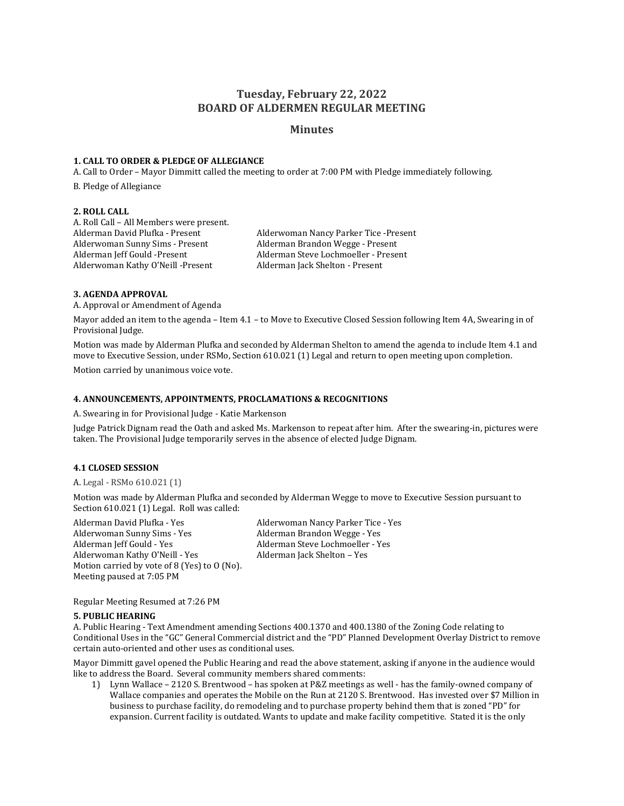# **Tuesday, February 22, 2022 BOARD OF ALDERMEN REGULAR MEETING**

## **Minutes**

### **1. CALL TO ORDER & PLEDGE OF ALLEGIANCE**

A. Call to Order – Mayor Dimmitt called the meeting to order at 7:00 PM with Pledge immediately following.

B. Pledge of Allegiance

## **2. ROLL CALL**

A. Roll Call – All Members were present. Alderwoman Sunny Sims - Present Alderman Brandon Wegge - Present Alderman Jeff Gould -Present Alderman Steve Lochmoeller - Present Alderwoman Kathy O'Neill -Present Alderman Jack Shelton - Present

Alderman David Plufka - Present Alderwoman Nancy Parker Tice -Present

### **3. AGENDA APPROVAL**

A. Approval or Amendment of Agenda

Mayor added an item to the agenda – Item 4.1 – to Move to Executive Closed Session following Item 4A, Swearing in of Provisional Judge.

Motion was made by Alderman Plufka and seconded by Alderman Shelton to amend the agenda to include Item 4.1 and move to Executive Session, under RSMo, Section 610.021 (1) Legal and return to open meeting upon completion.

Motion carried by unanimous voice vote.

## **4. ANNOUNCEMENTS, APPOINTMENTS, PROCLAMATIONS & RECOGNITIONS**

A. Swearing in for Provisional Judge - Katie Markenson

Judge Patrick Dignam read the Oath and asked Ms. Markenson to repeat after him. After the swearing-in, pictures were taken. The Provisional Judge temporarily serves in the absence of elected Judge Dignam.

## **4.1 CLOSED SESSION**

A. Legal - RSMo 610.021 (1)

Motion was made by Alderman Plufka and seconded by Alderman Wegge to move to Executive Session pursuant to Section 610.021 (1) Legal. Roll was called:

Alderman David Plufka - Yes Alderwoman Nancy Parker Tice - Yes Alderman Jeff Gould - Yes Alderman Steve Lochmoeller - Yes Alderwoman Kathy O'Neill - Yes Alderman Jack Shelton - Yes Motion carried by vote of 8 (Yes) to O (No). Meeting paused at 7:05 PM

Alderman Brandon Wegge - Yes

Regular Meeting Resumed at 7:26 PM

#### **5. PUBLIC HEARING**

A. Public Hearing - Text Amendment amending Sections 400.1370 and 400.1380 of the Zoning Code relating to Conditional Uses in the "GC" General Commercial district and the "PD" Planned Development Overlay District to remove certain auto-oriented and other uses as conditional uses.

Mayor Dimmitt gavel opened the Public Hearing and read the above statement, asking if anyone in the audience would like to address the Board. Several community members shared comments:

1) Lynn Wallace – 2120 S. Brentwood – has spoken at P&Z meetings as well - has the family-owned company of Wallace companies and operates the Mobile on the Run at 2120 S. Brentwood. Has invested over \$7 Million in business to purchase facility, do remodeling and to purchase property behind them that is zoned "PD" for expansion. Current facility is outdated. Wants to update and make facility competitive. Stated it is the only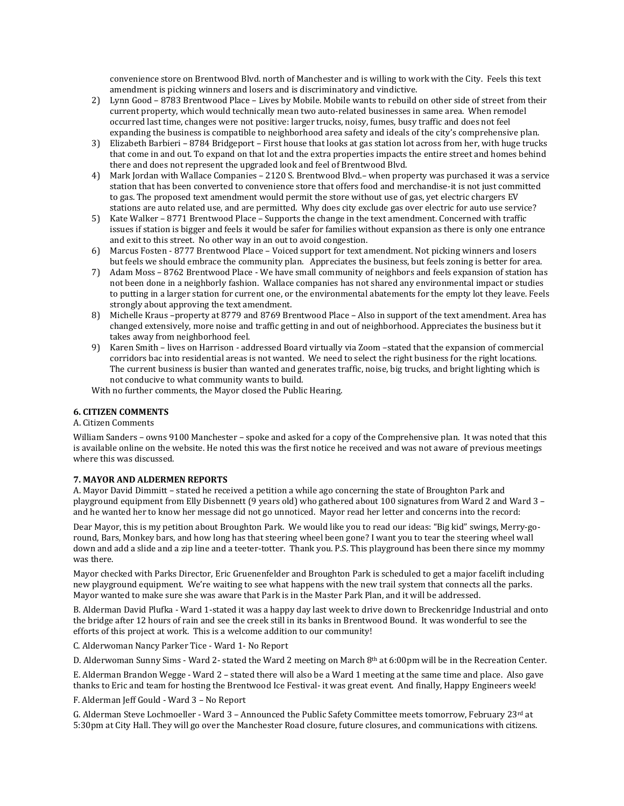convenience store on Brentwood Blvd. north of Manchester and is willing to work with the City. Feels this text amendment is picking winners and losers and is discriminatory and vindictive.

- 2) Lynn Good 8783 Brentwood Place Lives by Mobile. Mobile wants to rebuild on other side of street from their current property, which would technically mean two auto-related businesses in same area. When remodel occurred last time, changes were not positive: larger trucks, noisy, fumes, busy traffic and does not feel expanding the business is compatible to neighborhood area safety and ideals of the city's comprehensive plan.
- 3) Elizabeth Barbieri 8784 Bridgeport First house that looks at gas station lot across from her, with huge trucks that come in and out. To expand on that lot and the extra properties impacts the entire street and homes behind there and does not represent the upgraded look and feel of Brentwood Blvd.
- 4) Mark Jordan with Wallace Companies 2120 S. Brentwood Blvd.– when property was purchased it was a service station that has been converted to convenience store that offers food and merchandise-it is not just committed to gas. The proposed text amendment would permit the store without use of gas, yet electric chargers EV stations are auto related use, and are permitted. Why does city exclude gas over electric for auto use service?
- 5) Kate Walker 8771 Brentwood Place Supports the change in the text amendment. Concerned with traffic issues if station is bigger and feels it would be safer for families without expansion as there is only one entrance and exit to this street. No other way in an out to avoid congestion.
- 6) Marcus Fosten 8777 Brentwood Place Voiced support for text amendment. Not picking winners and losers but feels we should embrace the community plan. Appreciates the business, but feels zoning is better for area.
- 7) Adam Moss 8762 Brentwood Place We have small community of neighbors and feels expansion of station has not been done in a neighborly fashion. Wallace companies has not shared any environmental impact or studies to putting in a larger station for current one, or the environmental abatements for the empty lot they leave. Feels strongly about approving the text amendment.
- 8) Michelle Kraus –property at 8779 and 8769 Brentwood Place Also in support of the text amendment. Area has changed extensively, more noise and traffic getting in and out of neighborhood. Appreciates the business but it takes away from neighborhood feel.
- 9) Karen Smith lives on Harrison addressed Board virtually via Zoom –stated that the expansion of commercial corridors bac into residential areas is not wanted. We need to select the right business for the right locations. The current business is busier than wanted and generates traffic, noise, big trucks, and bright lighting which is not conducive to what community wants to build.

With no further comments, the Mayor closed the Public Hearing.

## **6. CITIZEN COMMENTS**

## A. Citizen Comments

William Sanders – owns 9100 Manchester – spoke and asked for a copy of the Comprehensive plan. It was noted that this is available online on the website. He noted this was the first notice he received and was not aware of previous meetings where this was discussed.

#### **7. MAYOR AND ALDERMEN REPORTS**

A. Mayor David Dimmitt – stated he received a petition a while ago concerning the state of Broughton Park and playground equipment from Elly Disbennett (9 years old) who gathered about 100 signatures from Ward 2 and Ward 3 – and he wanted her to know her message did not go unnoticed. Mayor read her letter and concerns into the record:

Dear Mayor, this is my petition about Broughton Park. We would like you to read our ideas: "Big kid" swings, Merry-goround, Bars, Monkey bars, and how long has that steering wheel been gone? I want you to tear the steering wheel wall down and add a slide and a zip line and a teeter-totter. Thank you. P.S. This playground has been there since my mommy was there.

Mayor checked with Parks Director, Eric Gruenenfelder and Broughton Park is scheduled to get a major facelift including new playground equipment. We're waiting to see what happens with the new trail system that connects all the parks. Mayor wanted to make sure she was aware that Park is in the Master Park Plan, and it will be addressed.

B. Alderman David Plufka - Ward 1-stated it was a happy day last week to drive down to Breckenridge Industrial and onto the bridge after 12 hours of rain and see the creek still in its banks in Brentwood Bound. It was wonderful to see the efforts of this project at work. This is a welcome addition to our community!

C. Alderwoman Nancy Parker Tice - Ward 1- No Report

D. Alderwoman Sunny Sims - Ward 2- stated the Ward 2 meeting on March 8th at 6:00pm will be in the Recreation Center.

E. Alderman Brandon Wegge - Ward 2 – stated there will also be a Ward 1 meeting at the same time and place. Also gave thanks to Eric and team for hosting the Brentwood Ice Festival- it was great event. And finally, Happy Engineers week!

F. Alderman Jeff Gould - Ward 3 – No Report

G. Alderman Steve Lochmoeller - Ward  $3$  – Announced the Public Safety Committee meets tomorrow, February 23<sup>rd</sup> at 5:30pm at City Hall. They will go over the Manchester Road closure, future closures, and communications with citizens.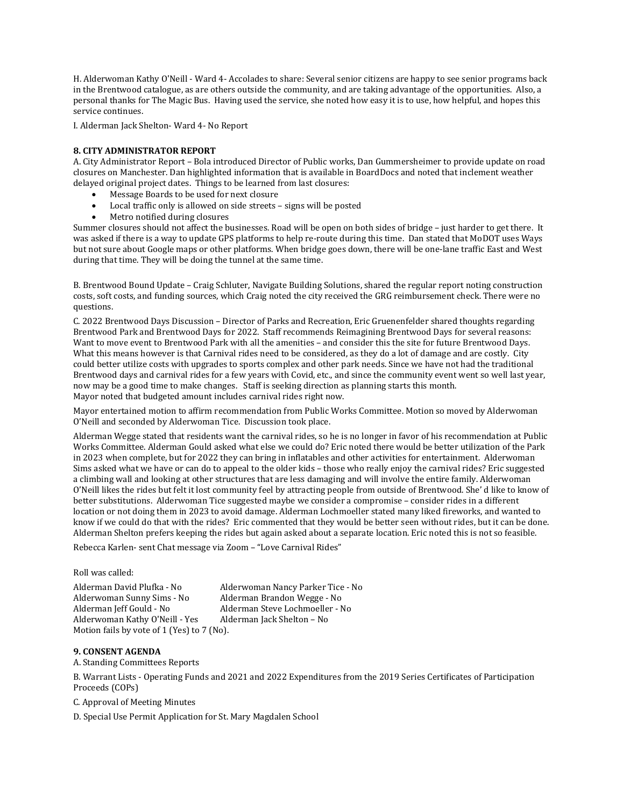H. Alderwoman Kathy O'Neill - Ward 4- Accolades to share: Several senior citizens are happy to see senior programs back in the Brentwood catalogue, as are others outside the community, and are taking advantage of the opportunities. Also, a personal thanks for The Magic Bus. Having used the service, she noted how easy it is to use, how helpful, and hopes this service continues.

I. Alderman Jack Shelton- Ward 4- No Report

## **8. CITY ADMINISTRATOR REPORT**

A. City Administrator Report – Bola introduced Director of Public works, Dan Gummersheimer to provide update on road closures on Manchester. Dan highlighted information that is available in BoardDocs and noted that inclement weather delayed original project dates. Things to be learned from last closures:

- Message Boards to be used for next closure
- Local traffic only is allowed on side streets signs will be posted
- Metro notified during closures

Summer closures should not affect the businesses. Road will be open on both sides of bridge – just harder to get there. It was asked if there is a way to update GPS platforms to help re-route during this time. Dan stated that MoDOT uses Ways but not sure about Google maps or other platforms. When bridge goes down, there will be one-lane traffic East and West during that time. They will be doing the tunnel at the same time.

B. Brentwood Bound Update – Craig Schluter, Navigate Building Solutions, shared the regular report noting construction costs, soft costs, and funding sources, which Craig noted the city received the GRG reimbursement check. There were no questions.

C. 2022 Brentwood Days Discussion – Director of Parks and Recreation, Eric Gruenenfelder shared thoughts regarding Brentwood Park and Brentwood Days for 2022. Staff recommends Reimagining Brentwood Days for several reasons: Want to move event to Brentwood Park with all the amenities – and consider this the site for future Brentwood Days. What this means however is that Carnival rides need to be considered, as they do a lot of damage and are costly. City could better utilize costs with upgrades to sports complex and other park needs. Since we have not had the traditional Brentwood days and carnival rides for a few years with Covid, etc., and since the community event went so well last year, now may be a good time to make changes. Staff is seeking direction as planning starts this month. Mayor noted that budgeted amount includes carnival rides right now.

Mayor entertained motion to affirm recommendation from Public Works Committee. Motion so moved by Alderwoman O'Neill and seconded by Alderwoman Tice. Discussion took place.

Alderman Wegge stated that residents want the carnival rides, so he is no longer in favor of his recommendation at Public Works Committee. Alderman Gould asked what else we could do? Eric noted there would be better utilization of the Park in 2023 when complete, but for 2022 they can bring in inflatables and other activities for entertainment. Alderwoman Sims asked what we have or can do to appeal to the older kids – those who really enjoy the carnival rides? Eric suggested a climbing wall and looking at other structures that are less damaging and will involve the entire family. Alderwoman O'Neill likes the rides but felt it lost community feel by attracting people from outside of Brentwood. She' d like to know of better substitutions. Alderwoman Tice suggested maybe we consider a compromise – consider rides in a different location or not doing them in 2023 to avoid damage. Alderman Lochmoeller stated many liked fireworks, and wanted to know if we could do that with the rides? Eric commented that they would be better seen without rides, but it can be done. Alderman Shelton prefers keeping the rides but again asked about a separate location. Eric noted this is not so feasible.

Rebecca Karlen- sent Chat message via Zoom – "Love Carnival Rides"

#### Roll was called:

Alderman David Plufka - No Alderwoman Nancy Parker Tice - No Alderwoman Sunny Sims - No Alderman Brandon Wegge - No Alderman Jeff Gould - No Alderman Steve Lochmoeller - No Alderwoman Kathy O'Neill - Yes Alderman Jack Shelton – No Motion fails by vote of 1 (Yes) to 7 (No).

## **9. CONSENT AGENDA**

A. Standing Committees Reports

B. Warrant Lists - Operating Funds and 2021 and 2022 Expenditures from the 2019 Series Certificates of Participation Proceeds (COPs)

C. Approval of Meeting Minutes

D. Special Use Permit Application for St. Mary Magdalen School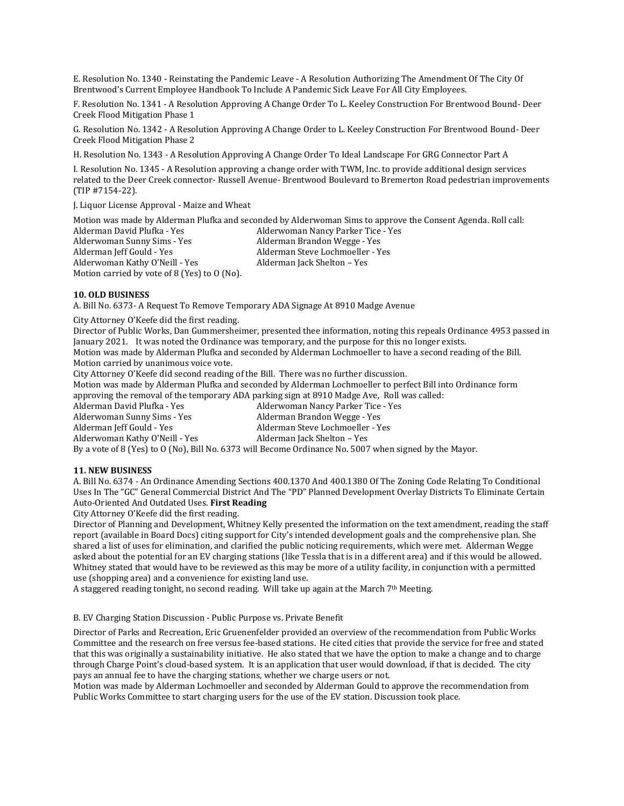E. Resolution No. 1340 - Reinstating the Pandemic Leave - A Resolution Authorizing The Amendment Of The City Of Brentwood's Current Employee Handbook To Include A Pandemic Sick Leave For All City Employees.

F. Resolution No. 1341 - A Resolution Approving A Change Order To L. Keeley Construction For Brentwood Bound- Deer Creek Flood Mitigation Phase 1

G. Resolution No. 1342 - A Resolution Approving A Change Order to L. Keeley Construction For Brentwood Bound- Deer Creek Flood Mitigation Phase 2

H. Resolution No. 1343 - A Resolution Approving A Change Order To Ideal Landscape For GRG Connector Part A

I. Resolution No. 1345 - A Resolution approving a change order with TWM, Inc. to provide additional design services related to the Deer Creek connector- Russell Avenue- Brentwood Boulevard to Bremerton Road pedestrian improvements (TIP #7154-22).

J. Liquor License Approval - Maize and Wheat

Motion was made by Alderman Plufka and seconded by Alderwoman Sims to approve the Consent Agenda. Roll call: Alderman David Plufka - Yes **Alderwoman Nancy Parker Tice - Yes** Alderwoman Nancy Parker Tice - Yes Alderwoman Sunny Sims - Yes Alderman Brandon Wegge - Yes Alderman Jeff Gould - Yes Alderman Steve Lochmoeller - Yes Alderwoman Kathy O'Neill - Yes Alderman Jack Shelton - Yes Motion carried by vote of 8 (Yes) to O (No).

#### **10. OLD BUSINESS**

A. Bill No. 6373- A Request To Remove Temporary ADA Signage At 8910 Madge Avenue

City Attorney O'Keefe did the first reading.

Director of Public Works, Dan Gummersheimer, presented thee information, noting this repeals Ordinance 4953 passed in January 2021. It was noted the Ordinance was temporary, and the purpose for this no longer exists. Motion was made by Alderman Plufka and seconded by Alderman Lochmoeller to have a second reading of the Bill. Motion carried by unanimous voice vote.

City Attorney O'Keefe did second reading of the Bill. There was no further discussion.

Motion was made by Alderman Plufka and seconded by Alderman Lochmoeller to perfect Bill into Ordinance form approving the removal of the temporary ADA parking sign at 8910 Madge Ave, Roll was called:

Alderman David Plufka - Yes Alderwoman Nancy Parker Tice - Yes Alderwoman Sunny Sims - Yes Alderman Brandon Wegge - Yes Alderman Jeff Gould - Yes Alderman Steve Lochmoeller - Yes Alderwoman Kathy O'Neill - Yes Alderman Jack Shelton - Yes By a vote of 8 (Yes) to O (No), Bill No. 6373 will Become Ordinance No. 5007 when signed by the Mayor.

#### **11. NEW BUSINESS**

A. Bill No. 6374 - An Ordinance Amending Sections 400.1370 And 400.1380 Of The Zoning Code Relating To Conditional Uses In The "GC" General Commercial District And The "PD" Planned Development Overlay Districts To Eliminate Certain Auto-Oriented And Outdated Uses. **First Reading**

City Attorney O'Keefe did the first reading.

Director of Planning and Development, Whitney Kelly presented the information on the text amendment, reading the staff report (available in Board Docs) citing support for City's intended development goals and the comprehensive plan. She shared a list of uses for elimination, and clarified the public noticing requirements, which were met. Alderman Wegge asked about the potential for an EV charging stations (like Tessla that is in a different area) and if this would be allowed. Whitney stated that would have to be reviewed as this may be more of a utility facility, in conjunction with a permitted use (shopping area) and a convenience for existing land use.

A staggered reading tonight, no second reading. Will take up again at the March  $7<sup>th</sup>$  Meeting.

#### B. EV Charging Station Discussion - Public Purpose vs. Private Benefit

Director of Parks and Recreation, Eric Gruenenfelder provided an overview of the recommendation from Public Works Committee and the research on free versus fee-based stations. He cited cities that provide the service for free and stated that this was originally a sustainability initiative. He also stated that we have the option to make a change and to charge through Charge Point's cloud-based system. It is an application that user would download, if that is decided. The city pays an annual fee to have the charging stations, whether we charge users or not.

Motion was made by Alderman Lochmoeller and seconded by Alderman Gould to approve the recommendation from Public Works Committee to start charging users for the use of the EV station. Discussion took place.